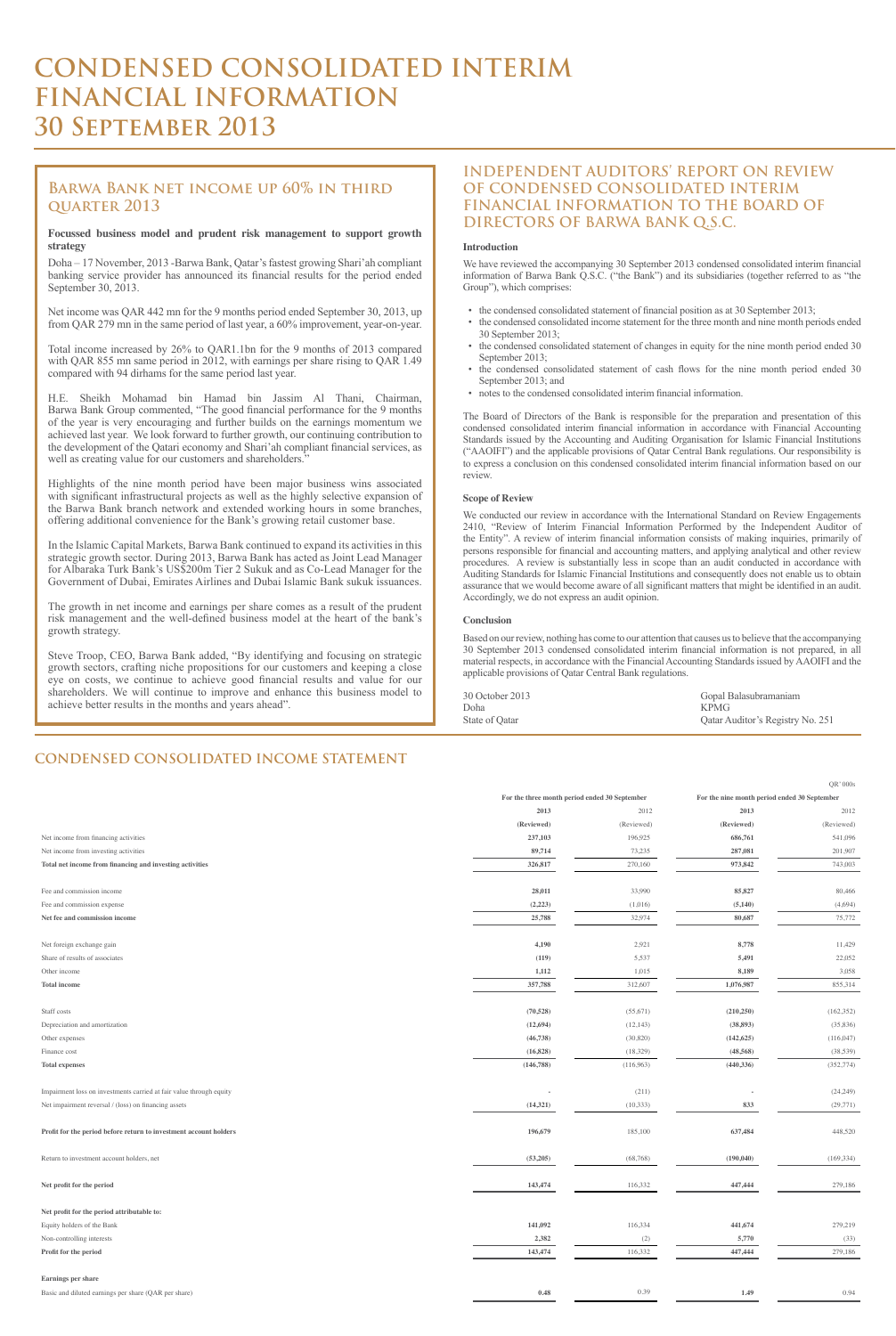#### **CONDENSED CONSOLIDATED INCOME STATEMENT**

Net income from financing activities

|            | For the three month period ended 30 September<br>For the nine month period ended 30 September |            |            |
|------------|-----------------------------------------------------------------------------------------------|------------|------------|
| 2012       | 2013                                                                                          | 2012       | 2013       |
| (Reviewed) | (Reviewed)                                                                                    | (Reviewed) | (Reviewed) |
| 541,096    | 686,761                                                                                       | 196,925    | 237,103    |

| Net income from investing activities                                | 89,714     | 73,235    | 287,081    | 201,907    |
|---------------------------------------------------------------------|------------|-----------|------------|------------|
| Total net income from financing and investing activities            | 326,817    | 270,160   | 973,842    | 743,003    |
|                                                                     |            |           |            |            |
| Fee and commission income                                           | 28,011     | 33,990    | 85,827     | 80,466     |
| Fee and commission expense                                          | (2,223)    | (1,016)   | (5,140)    | (4,694)    |
| Net fee and commission income                                       | 25,788     | 32,974    | 80,687     | 75,772     |
|                                                                     |            |           |            |            |
| Net foreign exchange gain                                           | 4,190      | 2,921     | 8,778      | 11,429     |
| Share of results of associates                                      | (119)      | 5,537     | 5,491      | 22,052     |
| Other income                                                        | 1,112      | 1,015     | 8,189      | 3,058      |
| <b>Total income</b>                                                 | 357,788    | 312,607   | 1,076,987  | 855,314    |
|                                                                     |            |           |            |            |
| Staff costs                                                         | (70, 528)  | (55, 671) | (210, 250) | (162, 352) |
| Depreciation and amortization                                       | (12, 694)  | (12, 143) | (38, 893)  | (35,836)   |
| Other expenses                                                      | (46, 738)  | (30, 820) | (142, 625) | (116,047)  |
| Finance cost                                                        | (16, 828)  | (18,329)  | (48, 568)  | (38, 539)  |
| <b>Total expenses</b>                                               | (146, 788) | (116,963) | (440, 336) | (352, 774) |
|                                                                     |            |           |            |            |
| Impairment loss on investments carried at fair value through equity |            | (211)     |            | (24,249)   |
| Net impairment reversal / (loss) on financing assets                | (14,321)   | (10, 333) | 833        | (29,771)   |
|                                                                     |            |           |            |            |
| Profit for the period before return to investment account holders   | 196,679    | 185,100   | 637,484    | 448,520    |
|                                                                     |            |           |            |            |
| Return to investment account holders, net                           | (53,205)   | (68, 768) | (190, 040) | (169, 334) |
|                                                                     |            |           |            |            |
| Net profit for the period                                           | 143,474    | 116,332   | 447,444    | 279,186    |
|                                                                     |            |           |            |            |
| Net profit for the period attributable to:                          |            |           |            |            |
| Equity holders of the Bank                                          | 141,092    | 116,334   | 441,674    | 279,219    |
| Non-controlling interests                                           | 2,382      | (2)       | 5,770      | (33)       |
| Profit for the period                                               | 143,474    | 116,332   | 447,444    | 279,186    |
|                                                                     |            |           |            |            |
| <b>Earnings per share</b>                                           |            |           |            |            |
| Basic and diluted earnings per share (QAR per share)                | 0.48       | 0.39      | 1.49       | 0.94       |

# **CONDENSED CONSOLIDATED INTERIM FINANCIAL INFORMATION 30 September 2013**

## **INDEPENDENT AUDITORS' REPORT ON REVIEW OF CONDENSED CONSOLIDATED INTERIM FINANCIAL INFORMATION TO THE BOARD OF DIRECTORS OF BARWA BANK Q.S.C.**

#### **Introduction**

We have reviewed the accompanying 30 September 2013 condensed consolidated interim financial information of Barwa Bank Q.S.C. ("the Bank") and its subsidiaries (together referred to as "the Group"), which comprises:

- the condensed consolidated statement of financial position as at 30 September 2013;
- the condensed consolidated income statement for the three month and nine month periods ended 30 September 2013;
- the condensed consolidated statement of changes in equity for the nine month period ended 30 September 2013;
- the condensed consolidated statement of cash flows for the nine month period ended 30 September 2013; and
- notes to the condensed consolidated interim financial information.

H.E. Sheikh Mohamad bin Hamad bin Jassim Al Thani, Chairman, Barwa Bank Group commented, "The good financial performance for the 9 months of the year is very encouraging and further builds on the earnings momentum we achieved last year. We look forward to further growth, our continuing contribution to the development of the Qatari economy and Shari'ah compliant financial services, as well as creating value for our customers and shareholders."

The Board of Directors of the Bank is responsible for the preparation and presentation of this condensed consolidated interim financial information in accordance with Financial Accounting Standards issued by the Accounting and Auditing Organisation for Islamic Financial Institutions ("AAOIFI") and the applicable provisions of Qatar Central Bank regulations. Our responsibility is to express a conclusion on this condensed consolidated interim financial information based on our review.

#### **Scope of Review**

We conducted our review in accordance with the International Standard on Review Engagements 2410, "Review of Interim Financial Information Performed by the Independent Auditor of the Entity". A review of interim financial information consists of making inquiries, primarily of persons responsible for financial and accounting matters, and applying analytical and other review procedures. A review is substantially less in scope than an audit conducted in accordance with Auditing Standards for Islamic Financial Institutions and consequently does not enable us to obtain assurance that we would become aware of all significant matters that might be identified in an audit. Accordingly, we do not express an audit opinion.

#### **Conclusion**

Based on our review, nothing has come to our attention that causes us to believe that the accompanying 30 September 2013 condensed consolidated interim financial information is not prepared, in all material respects, in accordance with the Financial Accounting Standards issued by AAOIFI and the applicable provisions of Qatar Central Bank regulations.

 $OR'$  000s

| 30 October 2013 | Gopal Balasubramaniam            |
|-----------------|----------------------------------|
| Doha            | KPMG <sup>-</sup>                |
| State of Qatar  | Qatar Auditor's Registry No. 251 |

## **Barwa Bank net income up 60% in third quarter 2013**

#### **Focussed business model and prudent risk management to support growth strategy**

Doha – 17 November, 2013 -Barwa Bank, Qatar's fastest growing Shari'ah compliant banking service provider has announced its financial results for the period ended September 30, 2013.

Net income was QAR 442 mn for the 9 months period ended September 30, 2013, up from QAR 279 mn in the same period of last year, a 60% improvement, year-on-year.

Total income increased by 26% to QAR1.1bn for the 9 months of 2013 compared with QAR 855 mn same period in 2012, with earnings per share rising to QAR 1.49 compared with 94 dirhams for the same period last year.

Highlights of the nine month period have been major business wins associated with significant infrastructural projects as well as the highly selective expansion of the Barwa Bank branch network and extended working hours in some branches, offering additional convenience for the Bank's growing retail customer base.

In the Islamic Capital Markets, Barwa Bank continued to expand its activities in this strategic growth sector. During 2013, Barwa Bank has acted as Joint Lead Manager for Albaraka Turk Bank's US\$200m Tier 2 Sukuk and as Co-Lead Manager for the Government of Dubai, Emirates Airlines and Dubai Islamic Bank sukuk issuances.

The growth in net income and earnings per share comes as a result of the prudent risk management and the well-defined business model at the heart of the bank's growth strategy.

Steve Troop, CEO, Barwa Bank added, "By identifying and focusing on strategic growth sectors, crafting niche propositions for our customers and keeping a close eye on costs, we continue to achieve good financial results and value for our shareholders. We will continue to improve and enhance this business model to achieve better results in the months and years ahead".